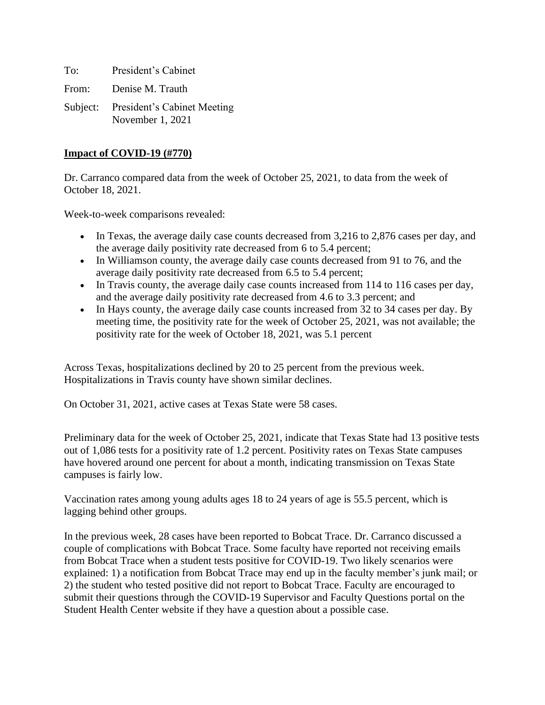To: President's Cabinet From: Denise M. Trauth Subject: President's Cabinet Meeting November 1, 2021

#### **Impact of COVID-19 (#770)**

Dr. Carranco compared data from the week of October 25, 2021, to data from the week of October 18, 2021.

Week-to-week comparisons revealed:

- In Texas, the average daily case counts decreased from 3,216 to 2,876 cases per day, and the average daily positivity rate decreased from 6 to 5.4 percent;
- In Williamson county, the average daily case counts decreased from 91 to 76, and the average daily positivity rate decreased from 6.5 to 5.4 percent;
- In Travis county, the average daily case counts increased from 114 to 116 cases per day, and the average daily positivity rate decreased from 4.6 to 3.3 percent; and
- In Hays county, the average daily case counts increased from 32 to 34 cases per day. By meeting time, the positivity rate for the week of October 25, 2021, was not available; the positivity rate for the week of October 18, 2021, was 5.1 percent

Across Texas, hospitalizations declined by 20 to 25 percent from the previous week. Hospitalizations in Travis county have shown similar declines.

On October 31, 2021, active cases at Texas State were 58 cases.

Preliminary data for the week of October 25, 2021, indicate that Texas State had 13 positive tests out of 1,086 tests for a positivity rate of 1.2 percent. Positivity rates on Texas State campuses have hovered around one percent for about a month, indicating transmission on Texas State campuses is fairly low.

Vaccination rates among young adults ages 18 to 24 years of age is 55.5 percent, which is lagging behind other groups.

In the previous week, 28 cases have been reported to Bobcat Trace. Dr. Carranco discussed a couple of complications with Bobcat Trace. Some faculty have reported not receiving emails from Bobcat Trace when a student tests positive for COVID-19. Two likely scenarios were explained: 1) a notification from Bobcat Trace may end up in the faculty member's junk mail; or 2) the student who tested positive did not report to Bobcat Trace. Faculty are encouraged to submit their questions through the COVID-19 Supervisor and Faculty Questions portal on the Student Health Center website if they have a question about a possible case.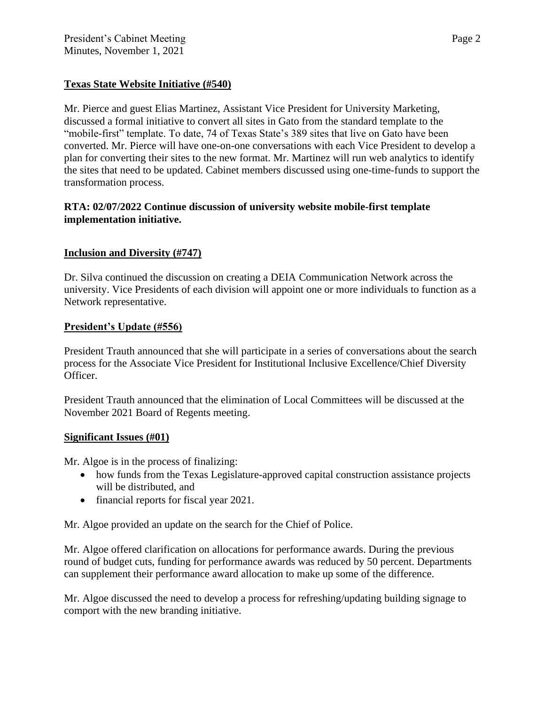# **Texas State Website Initiative (#540)**

Mr. Pierce and guest Elias Martinez, Assistant Vice President for University Marketing, discussed a formal initiative to convert all sites in Gato from the standard template to the "mobile-first" template. To date, 74 of Texas State's 389 sites that live on Gato have been converted. Mr. Pierce will have one-on-one conversations with each Vice President to develop a plan for converting their sites to the new format. Mr. Martinez will run web analytics to identify the sites that need to be updated. Cabinet members discussed using one-time-funds to support the transformation process.

## **RTA: 02/07/2022 Continue discussion of university website mobile-first template implementation initiative.**

# **Inclusion and Diversity (#747)**

Dr. Silva continued the discussion on creating a DEIA Communication Network across the university. Vice Presidents of each division will appoint one or more individuals to function as a Network representative.

### **President's Update (#556)**

President Trauth announced that she will participate in a series of conversations about the search process for the Associate Vice President for Institutional Inclusive Excellence/Chief Diversity Officer.

President Trauth announced that the elimination of Local Committees will be discussed at the November 2021 Board of Regents meeting.

#### **Significant Issues (#01)**

Mr. Algoe is in the process of finalizing:

- how funds from the Texas Legislature-approved capital construction assistance projects will be distributed, and
- financial reports for fiscal year 2021.

Mr. Algoe provided an update on the search for the Chief of Police.

Mr. Algoe offered clarification on allocations for performance awards. During the previous round of budget cuts, funding for performance awards was reduced by 50 percent. Departments can supplement their performance award allocation to make up some of the difference.

Mr. Algoe discussed the need to develop a process for refreshing/updating building signage to comport with the new branding initiative.